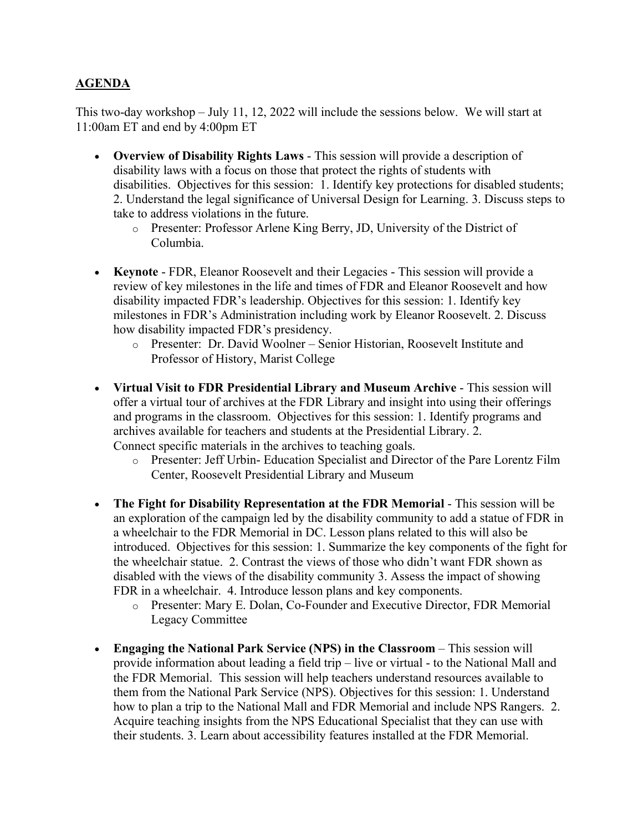## **AGENDA**

This two-day workshop – July 11, 12, 2022 will include the sessions below. We will start at 11:00am ET and end by 4:00pm ET

- **Overview of Disability Rights Laws** This session will provide a description of disability laws with a focus on those that protect the rights of students with disabilities. Objectives for this session: 1. Identify key protections for disabled students; 2. Understand the legal significance of Universal Design for Learning. 3. Discuss steps to take to address violations in the future.
	- o Presenter: Professor Arlene King Berry, JD, University of the District of Columbia.
- **Keynote** FDR, Eleanor Roosevelt and their Legacies This session will provide a review of key milestones in the life and times of FDR and Eleanor Roosevelt and how disability impacted FDR's leadership. Objectives for this session: 1. Identify key milestones in FDR's Administration including work by Eleanor Roosevelt. 2. Discuss how disability impacted FDR's presidency.
	- o Presenter: Dr. David Woolner Senior Historian, Roosevelt Institute and Professor of History, Marist College
- **Virtual Visit to FDR Presidential Library and Museum Archive** This session will offer a virtual tour of archives at the FDR Library and insight into using their offerings and programs in the classroom. Objectives for this session: 1. Identify programs and archives available for teachers and students at the Presidential Library. 2. Connect specific materials in the archives to teaching goals.
	- o Presenter: Jeff Urbin- Education Specialist and Director of the Pare Lorentz Film Center, Roosevelt Presidential Library and Museum
- **The Fight for Disability Representation at the FDR Memorial** This session will be an exploration of the campaign led by the disability community to add a statue of FDR in a wheelchair to the FDR Memorial in DC. Lesson plans related to this will also be introduced. Objectives for this session: 1. Summarize the key components of the fight for the wheelchair statue. 2. Contrast the views of those who didn't want FDR shown as disabled with the views of the disability community 3. Assess the impact of showing FDR in a wheelchair. 4. Introduce lesson plans and key components.
	- o Presenter: Mary E. Dolan, Co-Founder and Executive Director, FDR Memorial Legacy Committee
- **Engaging the National Park Service (NPS) in the Classroom** This session will provide information about leading a field trip – live or virtual - to the National Mall and the FDR Memorial. This session will help teachers understand resources available to them from the National Park Service (NPS). Objectives for this session: 1. Understand how to plan a trip to the National Mall and FDR Memorial and include NPS Rangers. 2. Acquire teaching insights from the NPS Educational Specialist that they can use with their students. 3. Learn about accessibility features installed at the FDR Memorial.